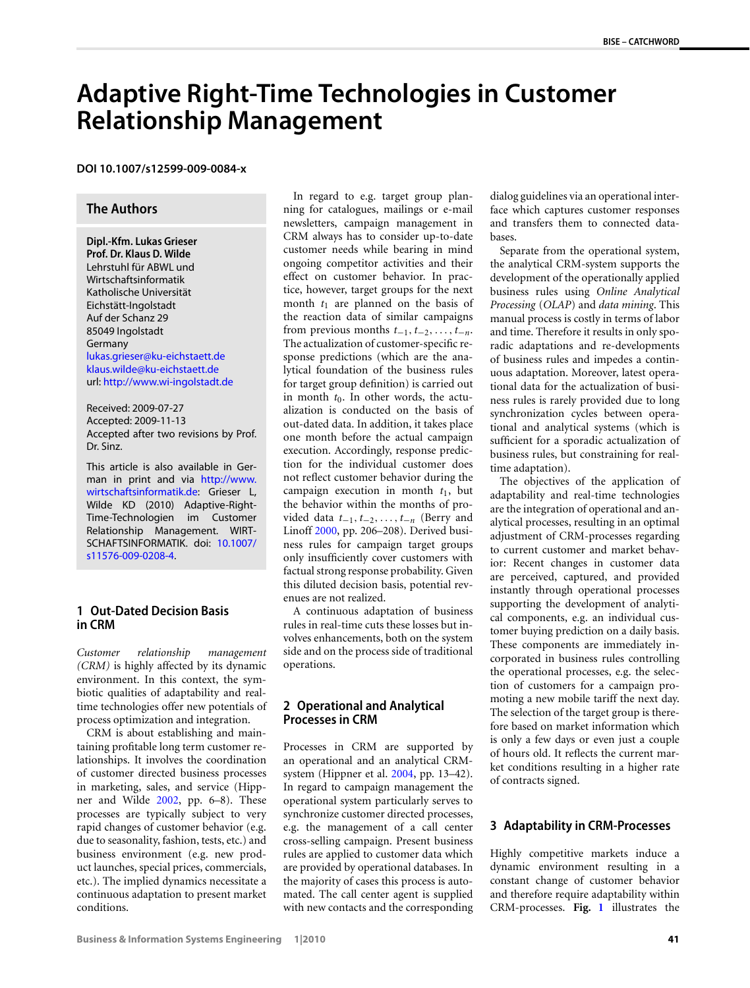# <span id="page-0-0"></span>**Adaptive Right-Time Technologies in Customer Relationship Management**

#### **DOI 10.1007/s12599-009-0084-x**

# **The Authors**

**Dipl.-Kfm. Lukas Grieser Prof. Dr. Klaus D. Wilde** Lehrstuhl für ABWL und Wirtschaftsinformatik Katholische Universität Eichstätt-Ingolstadt Auf der Schanz 29 85049 Ingolstadt Germany [lukas.grieser@ku-eichstaett.de](mailto:lukas.grieser@ku-eichstaett.de) [klaus.wilde@ku-eichstaett.de](mailto:klaus.wilde@ku-eichstaett.de) url: <http://www.wi-ingolstadt.de>

Received: 2009-07-27 Accepted: 2009-11-13 Accepted after two revisions by Prof. Dr. Sinz.

This article is also available in German in print and via [http://www.](http://www.wirtschaftsinformatik.de) [wirtschaftsinformatik.de:](http://www.wirtschaftsinformatik.de) Grieser L, Wilde KD (2010) Adaptive-Right-Time-Technologien im Customer Relationship Management. WIRT-SCHAFTSINFORMATIK. doi: [10.1007/](http://dx.doi.org/10.1007/s11576-009-0208-4) [s11576-009-0208-4](http://dx.doi.org/10.1007/s11576-009-0208-4).

### **1 Out-Dated Decision Basis in CRM**

*Customer relationship management (CRM)* is highly affected by its dynamic environment. In this context, the symbiotic qualities of adaptability and realtime technologies offer new potentials of process optimization and integration.

CRM is about establishing and maintaining profitable long term customer relationships. It involves the coordination of customer directed business processes in marketing, sales, and service (Hippner and Wilde [2002](#page-2-0), pp. 6–8). These processes are typically subject to very rapid changes of customer behavior (e.g. due to seasonality, fashion, tests, etc.) and business environment (e.g. new product launches, special prices, commercials, etc.). The implied dynamics necessitate a continuous adaptation to present market conditions.

In regard to e.g. target group planning for catalogues, mailings or e-mail newsletters, campaign management in CRM always has to consider up-to-date customer needs while bearing in mind ongoing competitor activities and their effect on customer behavior. In practice, however, target groups for the next month  $t_1$  are planned on the basis of the reaction data of similar campaigns from previous months  $t_{-1}, t_{-2}, \ldots, t_{-n}$ . The actualization of customer-specific response predictions (which are the analytical foundation of the business rules for target group definition) is carried out in month  $t_0$ . In other words, the actualization is conducted on the basis of out-dated data. In addition, it takes place one month before the actual campaign execution. Accordingly, response prediction for the individual customer does not reflect customer behavior during the campaign execution in month  $t_1$ , but the behavior within the months of provided data *t*−1*,t*−2*,...,t*−*<sup>n</sup>* (Berry and Linoff [2000,](#page-2-0) pp. 206–208). Derived business rules for campaign target groups only insufficiently cover customers with factual strong response probability. Given this diluted decision basis, potential revenues are not realized.

A continuous adaptation of business rules in real-time cuts these losses but involves enhancements, both on the system side and on the process side of traditional operations.

#### **2 Operational and Analytical Processes in CRM**

Processes in CRM are supported by an operational and an analytical CRMsystem (Hippner et al. [2004](#page-2-0), pp. 13–42). In regard to campaign management the operational system particularly serves to synchronize customer directed processes, e.g. the management of a call center cross-selling campaign. Present business rules are applied to customer data which are provided by operational databases. In the majority of cases this process is automated. The call center agent is supplied with new contacts and the corresponding dialog guidelines via an operational interface which captures customer responses and transfers them to connected databases.

Separate from the operational system, the analytical CRM-system supports the development of the operationally applied business rules using *Online Analytical Processing* (*OLAP*) and *data mining*. This manual process is costly in terms of labor and time. Therefore it results in only sporadic adaptations and re-developments of business rules and impedes a continuous adaptation. Moreover, latest operational data for the actualization of business rules is rarely provided due to long synchronization cycles between operational and analytical systems (which is sufficient for a sporadic actualization of business rules, but constraining for realtime adaptation).

The objectives of the application of adaptability and real-time technologies are the integration of operational and analytical processes, resulting in an optimal adjustment of CRM-processes regarding to current customer and market behavior: Recent changes in customer data are perceived, captured, and provided instantly through operational processes supporting the development of analytical components, e.g. an individual customer buying prediction on a daily basis. These components are immediately incorporated in business rules controlling the operational processes, e.g. the selection of customers for a campaign promoting a new mobile tariff the next day. The selection of the target group is therefore based on market information which is only a few days or even just a couple of hours old. It reflects the current market conditions resulting in a higher rate of contracts signed.

#### **3 Adaptability in CRM-Processes**

Highly competitive markets induce a dynamic environment resulting in a constant change of customer behavior and therefore require adaptability within CRM-processes. **Fig. [1](#page-1-0)** illustrates the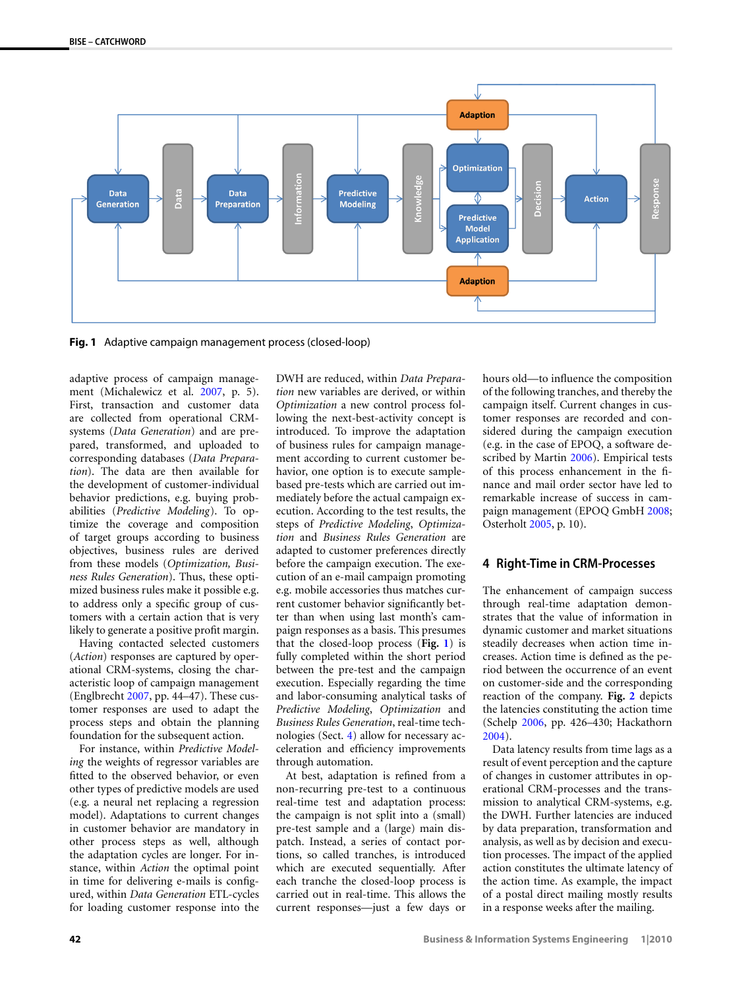<span id="page-1-0"></span>

**Fig. 1** Adaptive campaign management process (closed-loop)

adaptive process of campaign management (Michalewicz et al. [2007,](#page-3-0) p. 5). First, transaction and customer data are collected from operational CRMsystems (*Data Generation*) and are prepared, transformed, and uploaded to corresponding databases (*Data Preparation*). The data are then available for the development of customer-individual behavior predictions, e.g. buying probabilities (*Predictive Modeling*). To optimize the coverage and composition of target groups according to business objectives, business rules are derived from these models (*Optimization, Business Rules Generation*). Thus, these optimized business rules make it possible e.g. to address only a specific group of customers with a certain action that is very likely to generate a positive profit margin.

Having contacted selected customers (*Action*) responses are captured by operational CRM-systems, closing the characteristic loop of campaign management (Englbrecht [2007](#page-2-0), pp. 44–47). These customer responses are used to adapt the process steps and obtain the planning foundation for the subsequent action.

For instance, within *Predictive Modeling* the weights of regressor variables are fitted to the observed behavior, or even other types of predictive models are used (e.g. a neural net replacing a regression model). Adaptations to current changes in customer behavior are mandatory in other process steps as well, although the adaptation cycles are longer. For instance, within *Action* the optimal point in time for delivering e-mails is configured, within *Data Generation* ETL-cycles for loading customer response into the DWH are reduced, within *Data Preparation* new variables are derived, or within *Optimization* a new control process following the next-best-activity concept is introduced. To improve the adaptation of business rules for campaign management according to current customer behavior, one option is to execute samplebased pre-tests which are carried out immediately before the actual campaign execution. According to the test results, the steps of *Predictive Modeling*, *Optimization* and *Business Rules Generation* are adapted to customer preferences directly before the campaign execution. The execution of an e-mail campaign promoting e.g. mobile accessories thus matches current customer behavior significantly better than when using last month's campaign responses as a basis. This presumes that the closed-loop process (**Fig. 1**) is fully completed within the short period between the pre-test and the campaign execution. Especially regarding the time and labor-consuming analytical tasks of *Predictive Modeling*, *Optimization* and *Business Rules Generation*, real-time technologies (Sect. 4) allow for necessary acceleration and efficiency improvements through automation.

At best, adaptation is refined from a non-recurring pre-test to a continuous real-time test and adaptation process: the campaign is not split into a (small) pre-test sample and a (large) main dispatch. Instead, a series of contact portions, so called tranches, is introduced which are executed sequentially. After each tranche the closed-loop process is carried out in real-time. This allows the current responses—just a few days or hours old—to influence the composition of the following tranches, and thereby the campaign itself. Current changes in customer responses are recorded and considered during the campaign execution (e.g. in the case of EPOQ, a software described by Martin [2006\)](#page-2-0). Empirical tests of this process enhancement in the finance and mail order sector have led to remarkable increase of success in campaign management (EPOQ GmbH [2008;](#page-2-0) Osterholt [2005](#page-3-0), p. 10).

#### **4 Right-Time in CRM-Processes**

The enhancement of campaign success through real-time adaptation demonstrates that the value of information in dynamic customer and market situations steadily decreases when action time increases. Action time is defined as the period between the occurrence of an event on customer-side and the corresponding reaction of the company. **Fig. [2](#page-2-0)** depicts the latencies constituting the action time (Schelp [2006](#page-3-0), pp. 426–430; Hackathorn [2004](#page-2-0)).

Data latency results from time lags as a result of event perception and the capture of changes in customer attributes in operational CRM-processes and the transmission to analytical CRM-systems, e.g. the DWH. Further latencies are induced by data preparation, transformation and analysis, as well as by decision and execution processes. The impact of the applied action constitutes the ultimate latency of the action time. As example, the impact of a postal direct mailing mostly results in a response weeks after the mailing.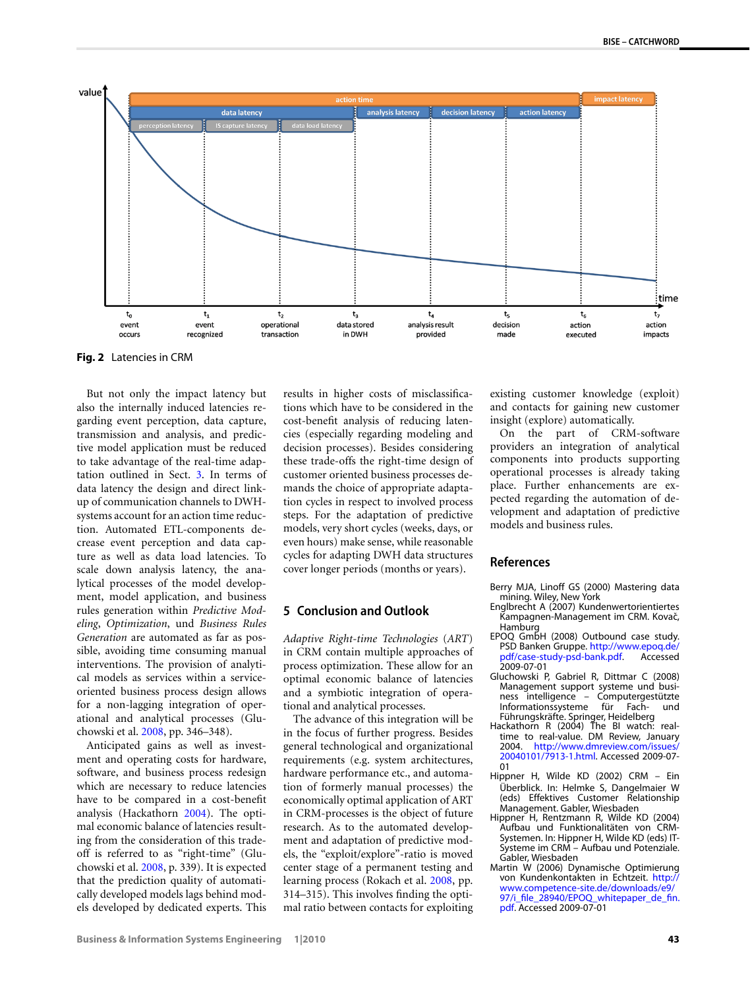<span id="page-2-0"></span>

**Fig. 2** Latencies in CRM

But not only the impact latency but also the internally induced latencies regarding event perception, data capture, transmission and analysis, and predictive model application must be reduced to take advantage of the real-time adaptation outlined in Sect. [3.](#page-0-0) In terms of data latency the design and direct linkup of communication channels to DWHsystems account for an action time reduction. Automated ETL-components decrease event perception and data capture as well as data load latencies. To scale down analysis latency, the analytical processes of the model development, model application, and business rules generation within *Predictive Modeling*, *Optimization*, und *Business Rules Generation* are automated as far as possible, avoiding time consuming manual interventions. The provision of analytical models as services within a serviceoriented business process design allows for a non-lagging integration of operational and analytical processes (Gluchowski et al. 2008, pp. 346–348).

Anticipated gains as well as investment and operating costs for hardware, software, and business process redesign which are necessary to reduce latencies have to be compared in a cost-benefit analysis (Hackathorn 2004). The optimal economic balance of latencies resulting from the consideration of this tradeoff is referred to as "right-time" (Gluchowski et al. 2008, p. 339). It is expected that the prediction quality of automatically developed models lags behind models developed by dedicated experts. This results in higher costs of misclassifications which have to be considered in the cost-benefit analysis of reducing latencies (especially regarding modeling and decision processes). Besides considering these trade-offs the right-time design of customer oriented business processes demands the choice of appropriate adaptation cycles in respect to involved process steps. For the adaptation of predictive models, very short cycles (weeks, days, or even hours) make sense, while reasonable cycles for adapting DWH data structures cover longer periods (months or years).

#### **5 Conclusion and Outlook**

*Adaptive Right-time Technologies* (*ART*) in CRM contain multiple approaches of process optimization. These allow for an optimal economic balance of latencies and a symbiotic integration of operational and analytical processes.

The advance of this integration will be in the focus of further progress. Besides general technological and organizational requirements (e.g. system architectures, hardware performance etc., and automation of formerly manual processes) the economically optimal application of ART in CRM-processes is the object of future research. As to the automated development and adaptation of predictive models, the "exploit/explore"-ratio is moved center stage of a permanent testing and learning process (Rokach et al. [2008](#page-3-0), pp. 314–315). This involves finding the optimal ratio between contacts for exploiting existing customer knowledge (exploit) and contacts for gaining new customer insight (explore) automatically.

On the part of CRM-software providers an integration of analytical components into products supporting operational processes is already taking place. Further enhancements are expected regarding the automation of development and adaptation of predictive models and business rules.

## **References**

Berry MJA, Linoff GS (2000) Mastering data mining. Wiley, New York Englbrecht A (2007) Kundenwertorientiertes

- Kampagnen-Management im CRM. Kovač, Hamburg
- EPOQ GmbH (2008) Outbound case study. PSD Banken Gruppe. [http://www.epoq.de/](http://www.epoq.de/pdf/case-study-psd-bank.pdf)<br>pdf/case-study-psd-bank.pdf. Accessed [pdf/case-study-psd-bank.pdf.](http://www.epoq.de/pdf/case-study-psd-bank.pdf) 2009-07-01
- Gluchowski P, Gabriel R, Dittmar C (2008) Management support systeme und business intelligence – Computergestützte<br>Informationssysteme für Fach- und Informationssysteme Führungskräfte. Springer, Heidelberg
- Hackathorn R (2004) The BI watch: realtime to real-value. DM Review, January 2004. [http://www.dmreview.com/issues/](http://www.dmreview.com/issues/20040101/7913-1.html) [20040101/7913-1.html](http://www.dmreview.com/issues/20040101/7913-1.html). Accessed 2009-07- 01
- Hippner H, Wilde KD (2002) CRM Ein Überblick. In: Helmke S, Dangelmaier W (eds) Effektives Customer Relationship Management. Gabler, Wiesbaden
- Hippner H, Rentzmann R, Wilde KD (2004) Aufbau und Funktionalitäten von CRM-Systemen. In: Hippner H, Wilde KD (eds) IT-Systeme im CRM – Aufbau und Potenziale. Gabler, Wiesbaden
- Martin W (2006) Dynamische Optimierung von Kundenkontakten in Echtzeit. [http://](http://www.competence-site.de/downloads/e9/97/i_file_28940/EPOQ_whitepaper_de_fin.pdf) [www.competence-site.de/downloads/e9/](http://www.competence-site.de/downloads/e9/97/i_file_28940/EPOQ_whitepaper_de_fin.pdf) [97/i\\_file\\_28940/EPOQ\\_whitepaper\\_de\\_fin.](http://www.competence-site.de/downloads/e9/97/i_file_28940/EPOQ_whitepaper_de_fin.pdf) [pdf.](http://www.competence-site.de/downloads/e9/97/i_file_28940/EPOQ_whitepaper_de_fin.pdf) Accessed 2009-07-01